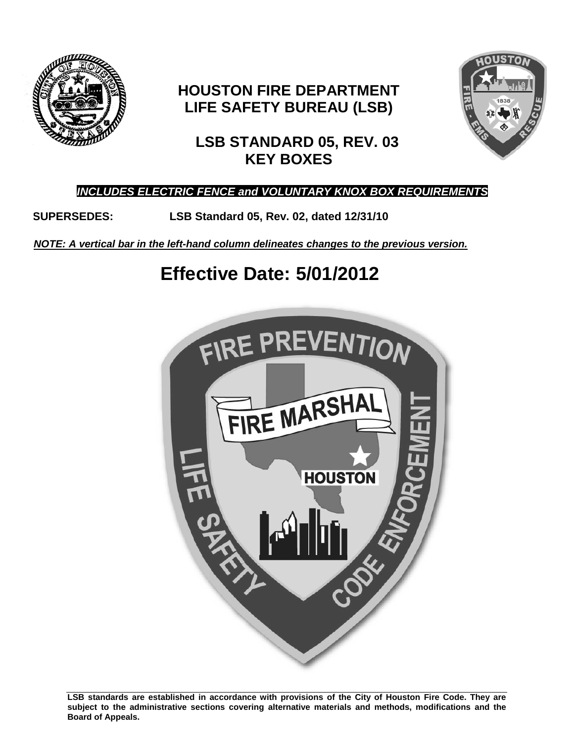

# **HOUSTON FIRE DEPARTMENT LIFE SAFETY BUREAU (LSB)**



# **LSB STANDARD 05, REV. 03 KEY BOXES**

# *INCLUDES ELECTRIC FENCE and VOLUNTARY KNOX BOX REQUIREMENTS*

**SUPERSEDES: LSB Standard 05, Rev. 02, dated 12/31/10**

*NOTE: A vertical bar in the left-hand column delineates changes to the previous version.*

# **Effective Date: 5/01/2012**



**LSB standards are established in accordance with provisions of the City of Houston Fire Code. They are subject to the administrative sections covering alternative materials and methods, modifications and the Board of Appeals.**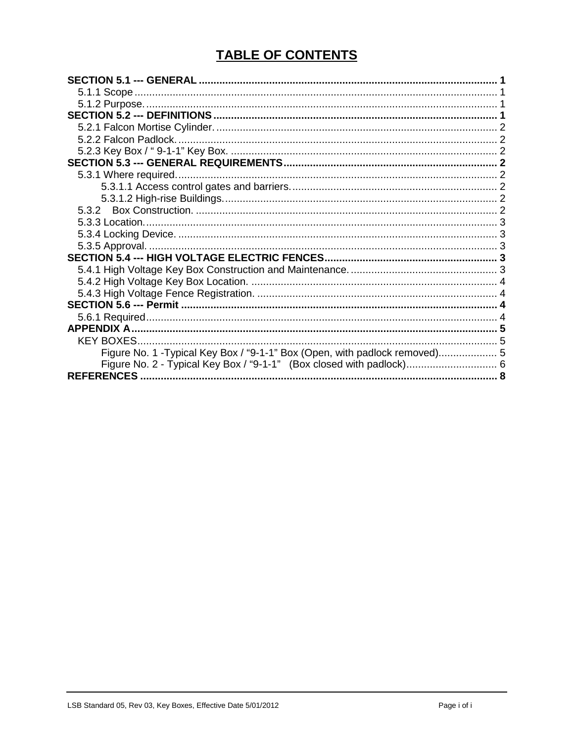# **TABLE OF CONTENTS**

| <b>KEY BOXES</b>                                                            |  |
|-----------------------------------------------------------------------------|--|
| Figure No. 1 - Typical Key Box / "9-1-1" Box (Open, with padlock removed) 5 |  |
| Figure No. 2 - Typical Key Box / "9-1-1" (Box closed with padlock) 6        |  |
|                                                                             |  |
|                                                                             |  |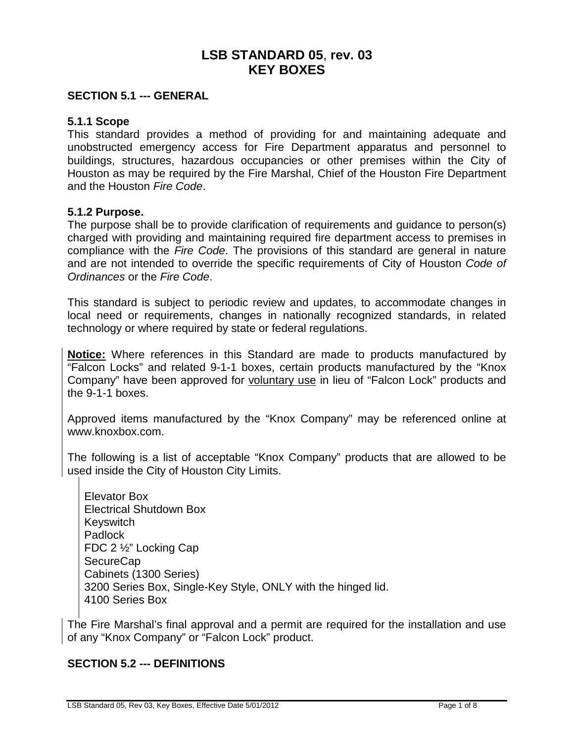# **LSB STANDARD 05**, **rev. 03 KEY BOXES**

#### <span id="page-2-0"></span>**SECTION 5.1 --- GENERAL**

#### <span id="page-2-1"></span>**5.1.1 Scope**

This standard provides a method of providing for and maintaining adequate and unobstructed emergency access for Fire Department apparatus and personnel to buildings, structures, hazardous occupancies or other premises within the City of Houston as may be required by the Fire Marshal, Chief of the Houston Fire Department and the Houston *Fire Code*.

#### <span id="page-2-2"></span>**5.1.2 Purpose.**

The purpose shall be to provide clarification of requirements and guidance to person(s) charged with providing and maintaining required fire department access to premises in compliance with the *Fire Code*. The provisions of this standard are general in nature and are not intended to override the specific requirements of City of Houston *Code of Ordinances* or the *Fire Code*.

This standard is subject to periodic review and updates, to accommodate changes in local need or requirements, changes in nationally recognized standards, in related technology or where required by state or federal regulations.

**Notice:** Where references in this Standard are made to products manufactured by "Falcon Locks" and related 9-1-1 boxes, certain products manufactured by the "Knox Company" have been approved for voluntary use in lieu of "Falcon Lock" products and the 9-1-1 boxes.

Approved items manufactured by the "Knox Company" may be referenced online at [www.knoxbox.com.](http://www.knoxbox.com/)

The following is a list of acceptable "Knox Company" products that are allowed to be used inside the City of Houston City Limits.

Elevator Box Electrical Shutdown Box **Keyswitch** Padlock FDC 2 ½" Locking Cap **SecureCap** Cabinets (1300 Series) 3200 Series Box, Single-Key Style, ONLY with the hinged lid. 4100 Series Box

The Fire Marshal's final approval and a permit are required for the installation and use of any "Knox Company" or "Falcon Lock" product.

#### <span id="page-2-3"></span>**SECTION 5.2 --- DEFINITIONS**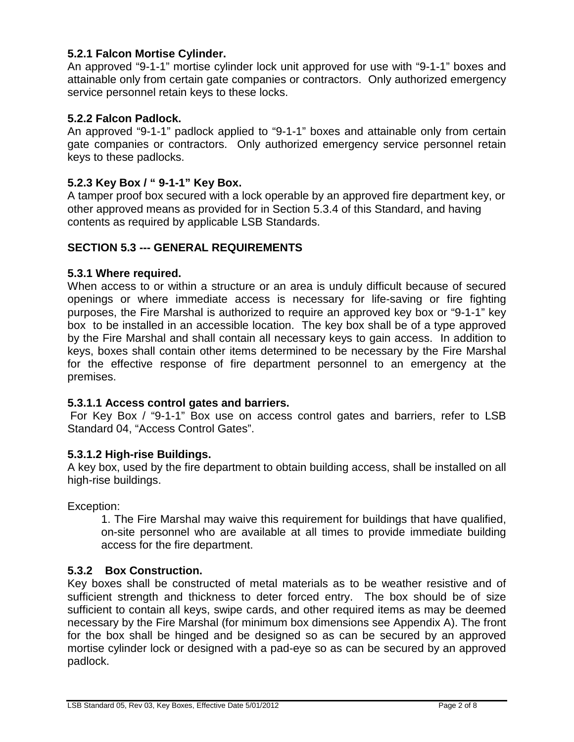#### <span id="page-3-0"></span>**5.2.1 Falcon Mortise Cylinder.**

An approved "9-1-1" mortise cylinder lock unit approved for use with "9-1-1" boxes and attainable only from certain gate companies or contractors. Only authorized emergency service personnel retain keys to these locks.

#### <span id="page-3-1"></span>**5.2.2 Falcon Padlock.**

An approved "9-1-1" padlock applied to "9-1-1" boxes and attainable only from certain gate companies or contractors. Only authorized emergency service personnel retain keys to these padlocks.

#### <span id="page-3-2"></span>**5.2.3 Key Box / " 9-1-1" Key Box.**

A tamper proof box secured with a lock operable by an approved fire department key, or other approved means as provided for in Section 5.3.4 of this Standard, and having contents as required by applicable LSB Standards.

#### <span id="page-3-3"></span>**SECTION 5.3 --- GENERAL REQUIREMENTS**

#### <span id="page-3-4"></span>**5.3.1 Where required.**

When access to or within a structure or an area is unduly difficult because of secured openings or where immediate access is necessary for life-saving or fire fighting purposes, the Fire Marshal is authorized to require an approved key box or "9-1-1" key box to be installed in an accessible location. The key box shall be of a type approved by the Fire Marshal and shall contain all necessary keys to gain access. In addition to keys, boxes shall contain other items determined to be necessary by the Fire Marshal for the effective response of fire department personnel to an emergency at the premises.

#### <span id="page-3-5"></span>**5.3.1.1 Access control gates and barriers.**

For Key Box / "9-1-1" Box use on access control gates and barriers, refer to LSB Standard 04, "Access Control Gates".

#### <span id="page-3-6"></span>**5.3.1.2 High-rise Buildings.**

A key box, used by the fire department to obtain building access, shall be installed on all high-rise buildings.

Exception:

1. The Fire Marshal may waive this requirement for buildings that have qualified, on-site personnel who are available at all times to provide immediate building access for the fire department.

#### <span id="page-3-7"></span>**5.3.2 Box Construction.**

Key boxes shall be constructed of metal materials as to be weather resistive and of sufficient strength and thickness to deter forced entry. The box should be of size sufficient to contain all keys, swipe cards, and other required items as may be deemed necessary by the Fire Marshal (for minimum box dimensions see Appendix A). The front for the box shall be hinged and be designed so as can be secured by an approved mortise cylinder lock or designed with a pad-eye so as can be secured by an approved padlock.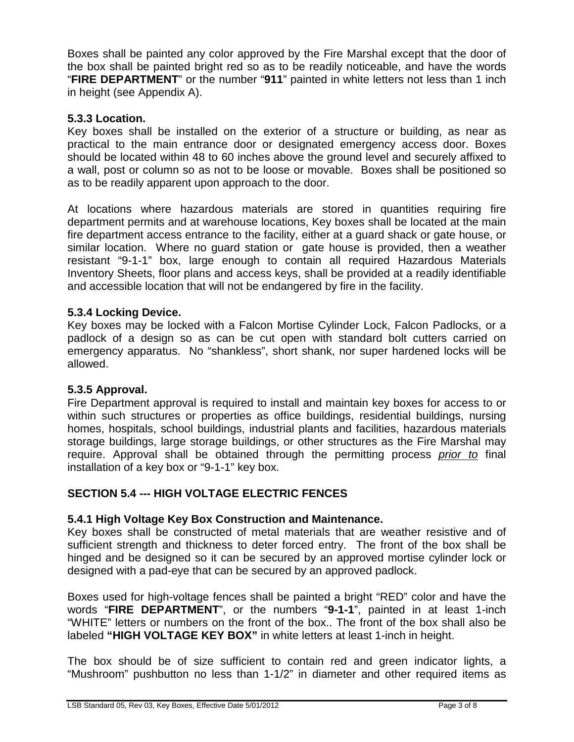Boxes shall be painted any color approved by the Fire Marshal except that the door of the box shall be painted bright red so as to be readily noticeable, and have the words "**FIRE DEPARTMENT**" or the number "**911**" painted in white letters not less than 1 inch in height (see Appendix A).

## <span id="page-4-0"></span>**5.3.3 Location.**

Key boxes shall be installed on the exterior of a structure or building, as near as practical to the main entrance door or designated emergency access door. Boxes should be located within 48 to 60 inches above the ground level and securely affixed to a wall, post or column so as not to be loose or movable. Boxes shall be positioned so as to be readily apparent upon approach to the door.

At locations where hazardous materials are stored in quantities requiring fire department permits and at warehouse locations, Key boxes shall be located at the main fire department access entrance to the facility, either at a guard shack or gate house, or similar location. Where no guard station or gate house is provided, then a weather resistant "9-1-1" box, large enough to contain all required Hazardous Materials Inventory Sheets, floor plans and access keys, shall be provided at a readily identifiable and accessible location that will not be endangered by fire in the facility.

#### <span id="page-4-1"></span>**5.3.4 Locking Device.**

Key boxes may be locked with a Falcon Mortise Cylinder Lock, Falcon Padlocks, or a padlock of a design so as can be cut open with standard bolt cutters carried on emergency apparatus. No "shankless", short shank, nor super hardened locks will be allowed.

#### <span id="page-4-2"></span>**5.3.5 Approval.**

Fire Department approval is required to install and maintain key boxes for access to or within such structures or properties as office buildings, residential buildings, nursing homes, hospitals, school buildings, industrial plants and facilities, hazardous materials storage buildings, large storage buildings, or other structures as the Fire Marshal may require. Approval shall be obtained through the permitting process *prior to* final installation of a key box or "9-1-1" key box.

## <span id="page-4-3"></span>**SECTION 5.4 --- HIGH VOLTAGE ELECTRIC FENCES**

#### <span id="page-4-4"></span>**5.4.1 High Voltage Key Box Construction and Maintenance.**

Key boxes shall be constructed of metal materials that are weather resistive and of sufficient strength and thickness to deter forced entry. The front of the box shall be hinged and be designed so it can be secured by an approved mortise cylinder lock or designed with a pad-eye that can be secured by an approved padlock.

Boxes used for high-voltage fences shall be painted a bright "RED" color and have the words "**FIRE DEPARTMENT**", or the numbers "**9-1-1**", painted in at least 1-inch "WHITE" letters or numbers on the front of the box.. The front of the box shall also be labeled **"HIGH VOLTAGE KEY BOX"** in white letters at least 1-inch in height.

The box should be of size sufficient to contain red and green indicator lights, a "Mushroom" pushbutton no less than 1-1/2" in diameter and other required items as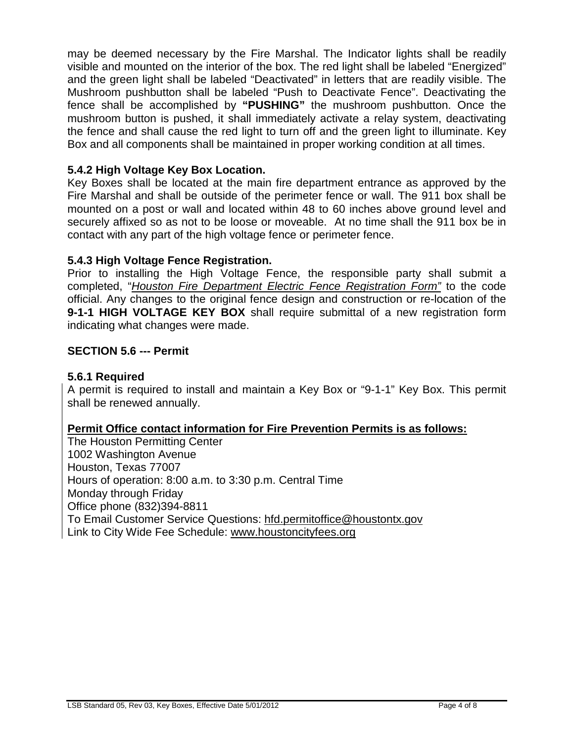may be deemed necessary by the Fire Marshal. The Indicator lights shall be readily visible and mounted on the interior of the box. The red light shall be labeled "Energized" and the green light shall be labeled "Deactivated" in letters that are readily visible. The Mushroom pushbutton shall be labeled "Push to Deactivate Fence". Deactivating the fence shall be accomplished by **"PUSHING"** the mushroom pushbutton. Once the mushroom button is pushed, it shall immediately activate a relay system, deactivating the fence and shall cause the red light to turn off and the green light to illuminate. Key Box and all components shall be maintained in proper working condition at all times.

## <span id="page-5-0"></span>**5.4.2 High Voltage Key Box Location.**

Key Boxes shall be located at the main fire department entrance as approved by the Fire Marshal and shall be outside of the perimeter fence or wall. The 911 box shall be mounted on a post or wall and located within 48 to 60 inches above ground level and securely affixed so as not to be loose or moveable. At no time shall the 911 box be in contact with any part of the high voltage fence or perimeter fence.

#### <span id="page-5-1"></span>**5.4.3 High Voltage Fence Registration.**

Prior to installing the High Voltage Fence, the responsible party shall submit a completed, "*Houston Fire Department Electric Fence Registration Form"* to the code official. Any changes to the original fence design and construction or re-location of the **9-1-1 HIGH VOLTAGE KEY BOX** shall require submittal of a new registration form indicating what changes were made.

#### <span id="page-5-2"></span>**SECTION 5.6 --- Permit**

#### <span id="page-5-3"></span>**5.6.1 Required**

A permit is required to install and maintain a Key Box or "9-1-1" Key Box. This permit shall be renewed annually.

#### **Permit Office contact information for Fire Prevention Permits is as follows:**

The Houston Permitting Center 1002 Washington Avenue Houston, Texas 77007 Hours of operation: 8:00 a.m. to 3:30 p.m. Central Time Monday through Friday Office phone (832)394-8811 To Email Customer Service Questions: [hfd.permitoffice@houstontx.gov](mailto:hfd.permitoffice@houstontx.gov) Link to City Wide Fee Schedule: [www.houstoncityfees.org](http://www.houstoncityfees.org/)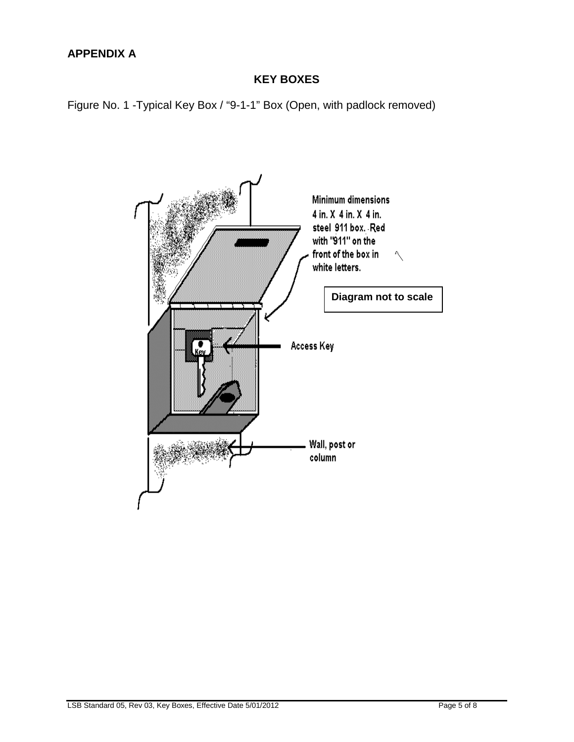# <span id="page-6-0"></span>**APPENDIX A**

# **KEY BOXES**

<span id="page-6-2"></span><span id="page-6-1"></span>Figure No. 1 -Typical Key Box / "9-1-1" Box (Open, with padlock removed)

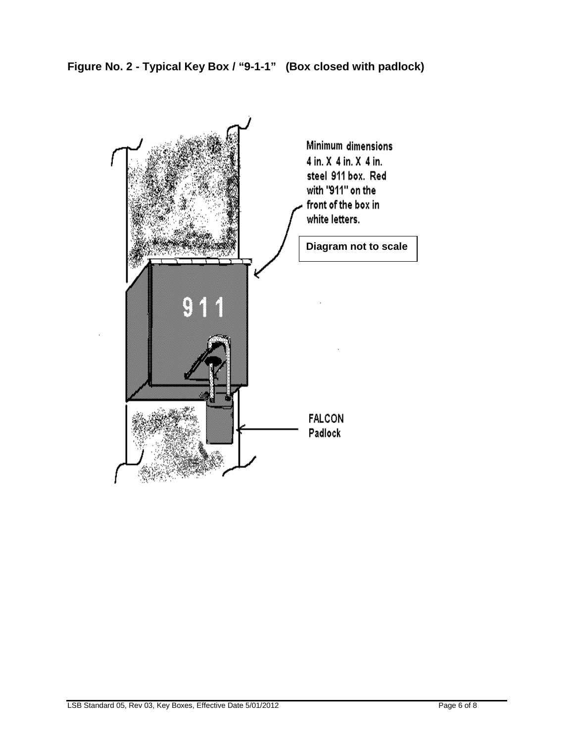<span id="page-7-0"></span>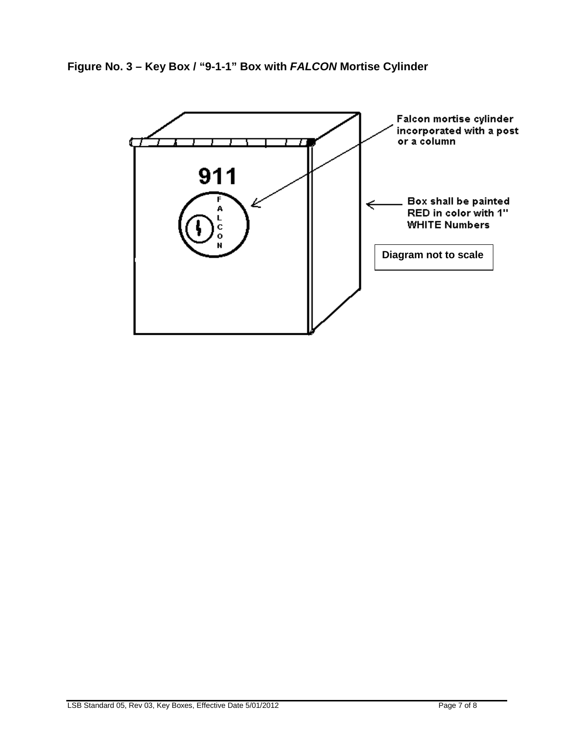**Figure No. 3 – Key Box / "9-1-1" Box with** *FALCON* **Mortise Cylinder**